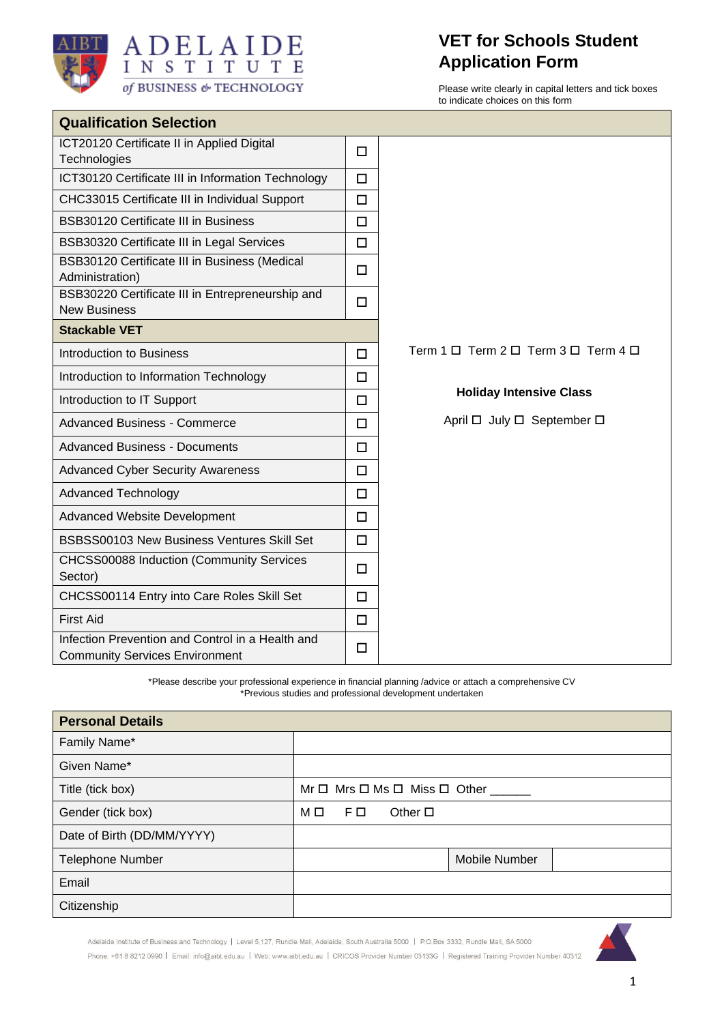

Please write clearly in capital letters and tick boxes to indicate choices on this form

| <b>Qualification Selection</b>                                                            |        |                                                                     |
|-------------------------------------------------------------------------------------------|--------|---------------------------------------------------------------------|
| ICT20120 Certificate II in Applied Digital<br>Technologies                                | □      |                                                                     |
| ICT30120 Certificate III in Information Technology                                        | $\Box$ |                                                                     |
| CHC33015 Certificate III in Individual Support                                            | □      |                                                                     |
| <b>BSB30120 Certificate III in Business</b>                                               | □      |                                                                     |
| <b>BSB30320 Certificate III in Legal Services</b>                                         | $\Box$ |                                                                     |
| BSB30120 Certificate III in Business (Medical<br>Administration)                          | $\Box$ |                                                                     |
| BSB30220 Certificate III in Entrepreneurship and<br><b>New Business</b>                   | □      |                                                                     |
| <b>Stackable VET</b>                                                                      |        |                                                                     |
| Introduction to Business                                                                  | $\Box$ | Term $1 \square$ Term $2 \square$ Term $3 \square$ Term $4 \square$ |
| Introduction to Information Technology                                                    | □      |                                                                     |
| Introduction to IT Support                                                                | П      | <b>Holiday Intensive Class</b>                                      |
| <b>Advanced Business - Commerce</b>                                                       | $\Box$ | April □ July □ September □                                          |
| <b>Advanced Business - Documents</b>                                                      | □      |                                                                     |
| <b>Advanced Cyber Security Awareness</b>                                                  | П      |                                                                     |
| <b>Advanced Technology</b>                                                                | □      |                                                                     |
| <b>Advanced Website Development</b>                                                       | $\Box$ |                                                                     |
| <b>BSBSS00103 New Business Ventures Skill Set</b>                                         | $\Box$ |                                                                     |
| CHCSS00088 Induction (Community Services<br>Sector)                                       | П      |                                                                     |
| CHCSS00114 Entry into Care Roles Skill Set                                                | П      |                                                                     |
| <b>First Aid</b>                                                                          | □      |                                                                     |
| Infection Prevention and Control in a Health and<br><b>Community Services Environment</b> | □      |                                                                     |

\*Please describe your professional experience in financial planning /advice or attach a comprehensive CV \*Previous studies and professional development undertaken

| <b>Personal Details</b>    |    |          |                 |                                                         |  |
|----------------------------|----|----------|-----------------|---------------------------------------------------------|--|
| Family Name*               |    |          |                 |                                                         |  |
| Given Name*                |    |          |                 |                                                         |  |
| Title (tick box)           |    |          |                 | $Mr \Box$ Mrs $\Box$ Ms $\Box$ Miss $\Box$ Other ______ |  |
| Gender (tick box)          | МΟ | $F \Box$ | Other $\square$ |                                                         |  |
| Date of Birth (DD/MM/YYYY) |    |          |                 |                                                         |  |
| <b>Telephone Number</b>    |    |          |                 | <b>Mobile Number</b>                                    |  |
| Email                      |    |          |                 |                                                         |  |
| Citizenship                |    |          |                 |                                                         |  |

Adelaide Institute of Business and Technology | Level 5,127, Rundle Mall, Adelaide, South Australia 5000 | P.O.Box 3332, Rundle Mall, SA 5000 Phone: +61 8 8212 0990 | Email: info@aibt.edu.au | Web: www.aibt.edu.au | CRICOS Provider Number 03133G | Registered Training Provider Number 40312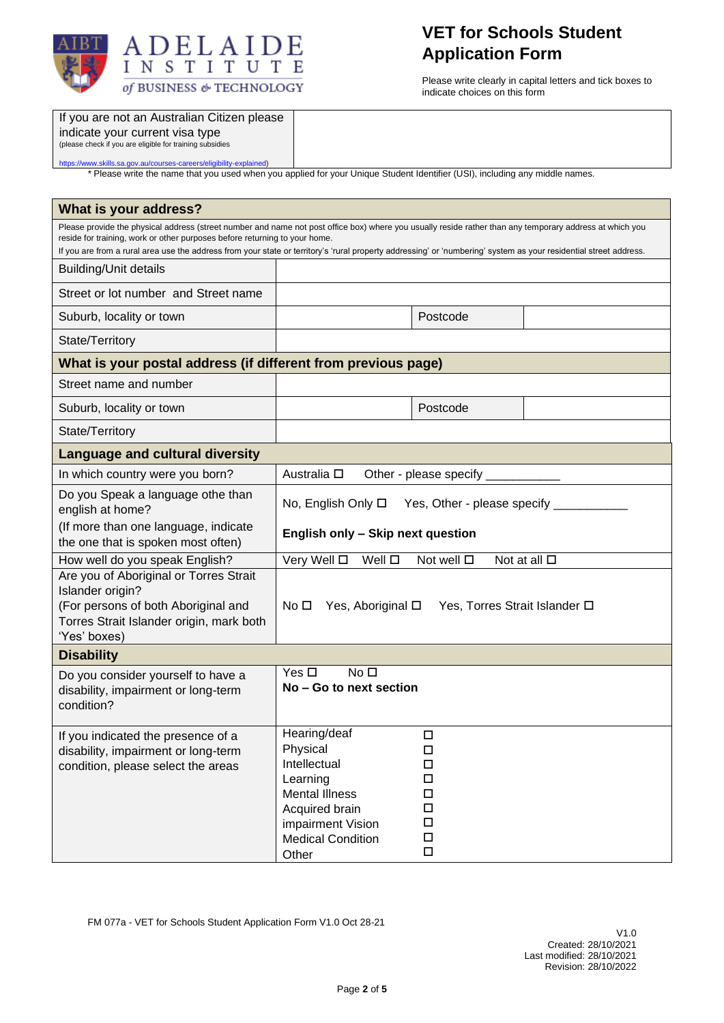

Please write clearly in capital letters and tick boxes to indicate choices on this form

| If you are not an Australian Citizen please |  |  |  |
|---------------------------------------------|--|--|--|
|---------------------------------------------|--|--|--|

indicate your current visa type

(please check if you are eligible for training subsidies

w.skills.sa.gov.au/courses-careers/eligibility-explained) *\** Please write the name that you used when you applied for your Unique Student Identifier (USI), including any middle names.

| What is your address?                                                                                                                                                                           |                                                                                                                                                                                                                                                                                                                               |  |  |
|-------------------------------------------------------------------------------------------------------------------------------------------------------------------------------------------------|-------------------------------------------------------------------------------------------------------------------------------------------------------------------------------------------------------------------------------------------------------------------------------------------------------------------------------|--|--|
| reside for training, work or other purposes before returning to your home.                                                                                                                      | Please provide the physical address (street number and name not post office box) where you usually reside rather than any temporary address at which you<br>If you are from a rural area use the address from your state or territory's 'rural property addressing' or 'numbering' system as your residential street address. |  |  |
| <b>Building/Unit details</b>                                                                                                                                                                    |                                                                                                                                                                                                                                                                                                                               |  |  |
| Street or lot number and Street name                                                                                                                                                            |                                                                                                                                                                                                                                                                                                                               |  |  |
| Suburb, locality or town                                                                                                                                                                        | Postcode                                                                                                                                                                                                                                                                                                                      |  |  |
| State/Territory                                                                                                                                                                                 |                                                                                                                                                                                                                                                                                                                               |  |  |
| What is your postal address (if different from previous page)                                                                                                                                   |                                                                                                                                                                                                                                                                                                                               |  |  |
| Street name and number                                                                                                                                                                          |                                                                                                                                                                                                                                                                                                                               |  |  |
| Suburb, locality or town                                                                                                                                                                        | Postcode                                                                                                                                                                                                                                                                                                                      |  |  |
| State/Territory                                                                                                                                                                                 |                                                                                                                                                                                                                                                                                                                               |  |  |
| <b>Language and cultural diversity</b>                                                                                                                                                          |                                                                                                                                                                                                                                                                                                                               |  |  |
| In which country were you born?                                                                                                                                                                 | Australia □<br>Other - please specify __________                                                                                                                                                                                                                                                                              |  |  |
| Do you Speak a language othe than<br>english at home?<br>(If more than one language, indicate                                                                                                   | No, English Only □ Yes, Other - please specify ___<br>English only - Skip next question                                                                                                                                                                                                                                       |  |  |
| the one that is spoken most often)                                                                                                                                                              | Very Well □<br>Well □<br>Not at all $\square$<br>Not well $\square$                                                                                                                                                                                                                                                           |  |  |
| How well do you speak English?<br>Are you of Aboriginal or Torres Strait<br>Islander origin?<br>(For persons of both Aboriginal and<br>Torres Strait Islander origin, mark both<br>'Yes' boxes) | Yes, Aboriginal □<br>Yes, Torres Strait Islander □<br>No <sub>1</sub>                                                                                                                                                                                                                                                         |  |  |
| <b>Disability</b>                                                                                                                                                                               |                                                                                                                                                                                                                                                                                                                               |  |  |
| Do you consider yourself to have a<br>disability, impairment or long-term<br>condition?                                                                                                         | No <sub>1</sub><br>Yes □<br>No - Go to next section                                                                                                                                                                                                                                                                           |  |  |
| If you indicated the presence of a<br>disability, impairment or long-term<br>condition, please select the areas                                                                                 | Hearing/deaf<br>□<br>Physical<br>口<br>Intellectual<br>□<br>$\Box$<br>Learning<br><b>Mental Illness</b><br>$\Box$<br>$\Box$<br>Acquired brain<br>$\Box$<br>impairment Vision<br>$\Box$<br><b>Medical Condition</b><br>$\Box$<br>Other                                                                                          |  |  |

FM 077a - VET for Schools Student Application Form V1.0 Oct 28-21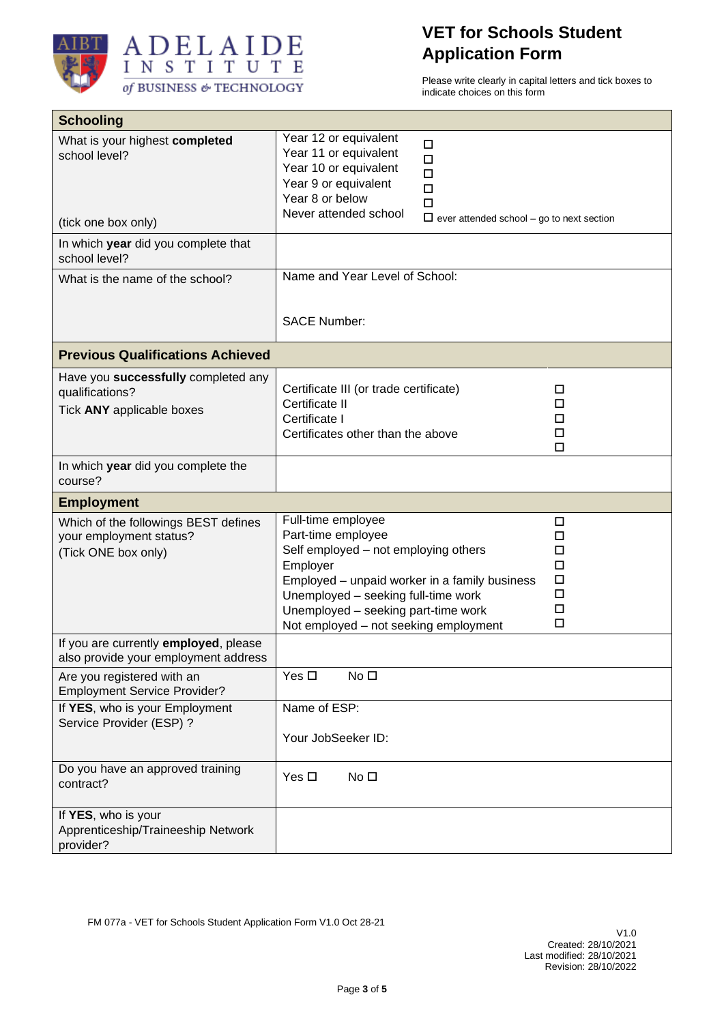

Please write clearly in capital letters and tick boxes to indicate choices on this form

| <b>Schooling</b>                                                                       |                                                                                                                                                                                                                                                                                                              |                       |
|----------------------------------------------------------------------------------------|--------------------------------------------------------------------------------------------------------------------------------------------------------------------------------------------------------------------------------------------------------------------------------------------------------------|-----------------------|
| What is your highest completed<br>school level?<br>(tick one box only)                 | Year 12 or equivalent<br>□<br>Year 11 or equivalent<br>$\Box$<br>Year 10 or equivalent<br>$\Box$<br>Year 9 or equivalent<br>$\Box$<br>Year 8 or below<br>$\Box$<br>Never attended school<br>$\Box$ ever attended school - go to next section                                                                 |                       |
| In which year did you complete that<br>school level?                                   |                                                                                                                                                                                                                                                                                                              |                       |
| What is the name of the school?                                                        | Name and Year Level of School:<br><b>SACE Number:</b>                                                                                                                                                                                                                                                        |                       |
| <b>Previous Qualifications Achieved</b>                                                |                                                                                                                                                                                                                                                                                                              |                       |
| Have you successfully completed any<br>qualifications?<br>Tick ANY applicable boxes    | Certificate III (or trade certificate)<br>Certificate II<br>Certificate I<br>Certificates other than the above                                                                                                                                                                                               | □<br>□<br>□<br>□<br>□ |
| In which year did you complete the<br>course?                                          |                                                                                                                                                                                                                                                                                                              |                       |
| <b>Employment</b>                                                                      |                                                                                                                                                                                                                                                                                                              |                       |
| Which of the followings BEST defines<br>your employment status?<br>(Tick ONE box only) | Full-time employee<br>□<br>Part-time employee<br>□<br>Self employed - not employing others<br>◻<br>Employer<br>□<br>Employed - unpaid worker in a family business<br>□<br>□<br>Unemployed - seeking full-time work<br>□<br>Unemployed - seeking part-time work<br>□<br>Not employed - not seeking employment |                       |
| If you are currently employed, please<br>also provide your employment address          |                                                                                                                                                                                                                                                                                                              |                       |
| Are you registered with an<br><b>Employment Service Provider?</b>                      | No <sub>D</sub><br>Yes $\square$                                                                                                                                                                                                                                                                             |                       |
| If YES, who is your Employment<br>Service Provider (ESP) ?                             | Name of ESP:<br>Your JobSeeker ID:                                                                                                                                                                                                                                                                           |                       |
| Do you have an approved training<br>contract?                                          | Yes $\square$<br>No <sub>D</sub>                                                                                                                                                                                                                                                                             |                       |
| If YES, who is your<br>Apprenticeship/Traineeship Network<br>provider?                 |                                                                                                                                                                                                                                                                                                              |                       |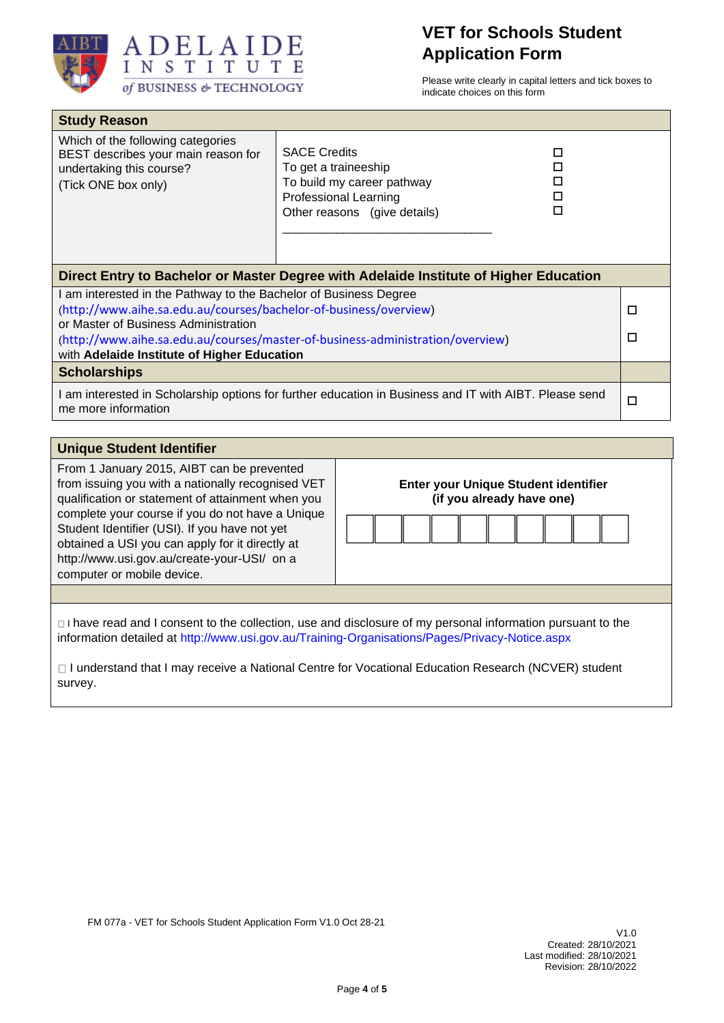

Please write clearly in capital letters and tick boxes to indicate choices on this form

| <b>Study Reason</b>                                                                                                                                                            |                                                                                                                                                                |   |
|--------------------------------------------------------------------------------------------------------------------------------------------------------------------------------|----------------------------------------------------------------------------------------------------------------------------------------------------------------|---|
| Which of the following categories<br>BEST describes your main reason for<br>undertaking this course?<br>(Tick ONE box only)                                                    | <b>SACE Credits</b><br>п<br>To get a traineeship<br>П<br>To build my career pathway<br><b>Professional Learning</b><br>LΙ<br>Other reasons (give details)<br>п |   |
| Direct Entry to Bachelor or Master Degree with Adelaide Institute of Higher Education                                                                                          |                                                                                                                                                                |   |
| I am interested in the Pathway to the Bachelor of Business Degree<br>(http://www.aihe.sa.edu.au/courses/bachelor-of-business/overview)<br>or Master of Business Administration |                                                                                                                                                                |   |
| (http://www.aihe.sa.edu.au/courses/master-of-business-administration/overview)<br>with Adelaide Institute of Higher Education                                                  |                                                                                                                                                                | □ |
| <b>Scholarships</b>                                                                                                                                                            |                                                                                                                                                                |   |
| I am interested in Scholarship options for further education in Business and IT with AIBT. Please send<br>me more information                                                  |                                                                                                                                                                | □ |

| <b>Unique Student Identifier</b>                                                                                                                                                                                                                                                                                                                                                          |                                                                   |  |
|-------------------------------------------------------------------------------------------------------------------------------------------------------------------------------------------------------------------------------------------------------------------------------------------------------------------------------------------------------------------------------------------|-------------------------------------------------------------------|--|
| From 1 January 2015, AIBT can be prevented<br>from issuing you with a nationally recognised VET<br>qualification or statement of attainment when you<br>complete your course if you do not have a Unique<br>Student Identifier (USI). If you have not yet<br>obtained a USI you can apply for it directly at<br>http://www.usi.gov.au/create-your-USI/ on a<br>computer or mobile device. | Enter your Unique Student identifier<br>(if you already have one) |  |
|                                                                                                                                                                                                                                                                                                                                                                                           |                                                                   |  |
| I have read and I consent to the collection, use and disclosure of my personal information pursuant to the<br>information detailed at http://www.usi.gov.au/Training-Organisations/Pages/Privacy-Notice.aspx                                                                                                                                                                              |                                                                   |  |
| □ I understand that I may receive a National Centre for Vocational Education Research (NCVER) student<br>survey.                                                                                                                                                                                                                                                                          |                                                                   |  |